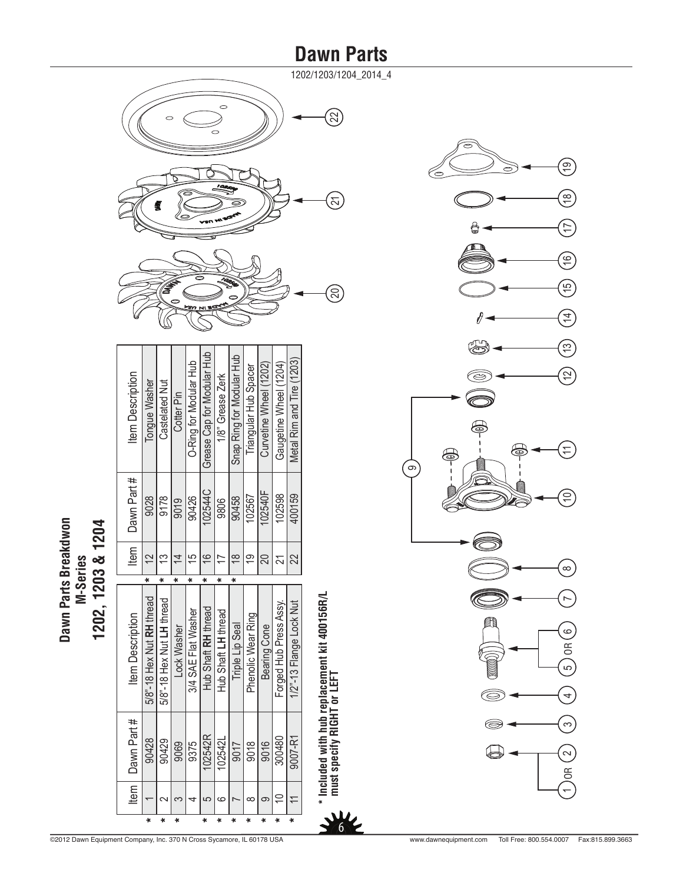1202/1203/1204\_2014\_4

\*\*

**\* Included with hub replacement kit 400156R/L**

 **must specify RIGHT or LEFT**



| <b>Item Description</b> | Tongue Washer             | Castelated Nut            | Cotter Pin  | O-Ring for Modular Hub | Grease Cap for Modular Hub | 1/8" Grease Zerk    | Snap Ring for Modular Hub       | Triangular Hub Spacer | Curvetine Wheel (1202) | Gaugetine Wheel (1204) | Metal Rim and Tire (1203) |
|-------------------------|---------------------------|---------------------------|-------------|------------------------|----------------------------|---------------------|---------------------------------|-----------------------|------------------------|------------------------|---------------------------|
| Dawn Part#              | 9028                      | 9178                      | 9019        | 90426                  | 02544C                     | 9806                | 90458                           | 102567                | 102540F                | 102598                 | 400159                    |
| ltem                    | 2                         |                           |             | 15                     | $\frac{6}{5}$              |                     | $\overset{\infty}{\rightarrow}$ | $\overline{9}$        | 20                     |                        | 22                        |
|                         | ×                         | ×                         | ×           | ×                      | ×                          | $\ddot{}$           | ×                               |                       |                        |                        |                           |
|                         |                           |                           |             |                        |                            |                     |                                 |                       |                        |                        |                           |
| <b>Item Description</b> | 5/8"-18 Hex Nut RH thread | 5/8"-18 Hex Nut LH thread | Lock Washer | 3/4 SAE Flat Washer    | Hub Shaft RH thread        | Hub Shaft LH thread | <b>Triple Lip Seal</b>          | Phenolic Wear Ring    | Bearing Cone           | Forged Hub Press Assy. | 1/2"-13 Flange Lock Nut   |
| Dawn Part #<br>Item     | 90428                     | 90429                     | 9069        | 9375                   | 102542R                    | 102542L             | 9017                            | 9018                  | 9016                   | 300480                 | 9007-R1                   |

**\* \* \***

**\***

**\* \* \***

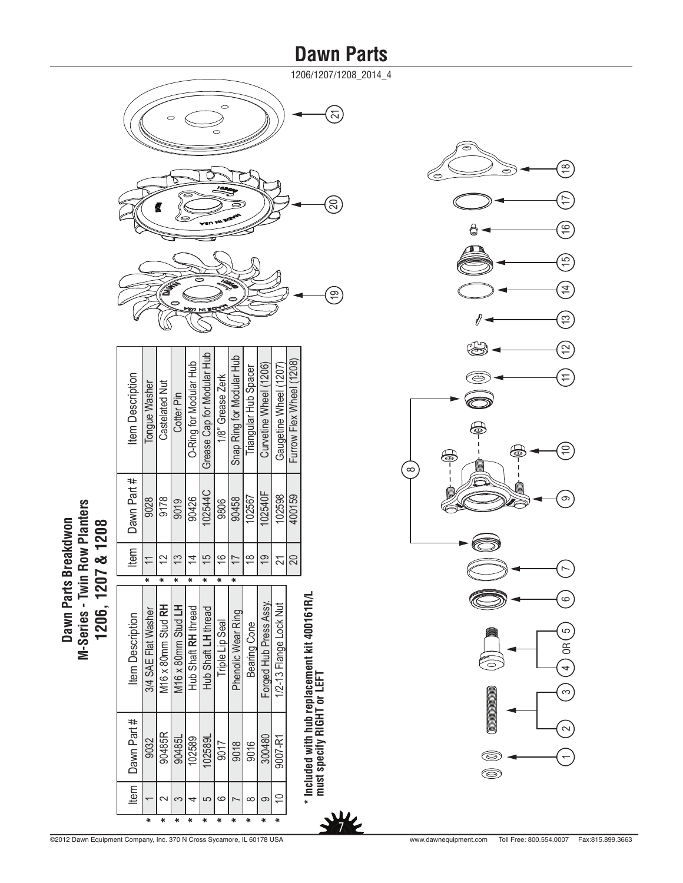1206/1207/1208\_2014\_4

\*\*



|         |         | Item   Dawn Part #         | <b>Item Description</b>                       |           | Item <sub>1</sub> | Dawn Part # | <b>Item Description</b>    |
|---------|---------|----------------------------|-----------------------------------------------|-----------|-------------------|-------------|----------------------------|
|         |         |                            |                                               |           |                   |             |                            |
| $\star$ |         | 9032                       | 3/4 SAE Flat Washer                           | $\ast$    |                   | 9028        | Tongue Washer              |
| $\star$ | c       | 90485R                     | M16 x 80mm Stud RH                            | $\ddot{}$ | $\tilde{C}$       | 9178        | <b>Castelated Nut</b>      |
|         | က       | 90485L                     | M16 x 80mm Stud LH                            | ×         | 13                | 9019        | Cotter Pin                 |
|         |         | 102589                     | Hub Shaft RH thread                           | ×         | $\overline{4}$    | 90426       | O-Ring for Modular Hub     |
|         | 5       | 102589L                    | Hub Shaft LH thread                           | ×         | $\frac{5}{1}$     | 102544C     | Grease Cap for Modular Hub |
| $\star$ | ဖ       | 9017                       | <b>Triple Lip Seal</b>                        | ¥         | $\frac{6}{5}$     | 9806        | 1/8" Grease Zerk           |
|         |         | 9018                       | Phenolic Wear Ring                            | ×         |                   | 90458       | Snap Ring for Modular Hub  |
|         | ∞       | 9016                       | Bearing Cone                                  |           | ≌                 | 102567      | Triangular Hub Spacer      |
| $\ast$  | 9       | 300480                     | Forged Hub Press Assy.                        |           | $\overline{C}$    | 102540F     | Curvetine Wheel (1206)     |
|         | $\cong$ | 9007-R1                    | 1/2-13 Flange Lock Nut                        |           |                   | 102598      | Gaugetine Wheel (1207)     |
|         |         |                            |                                               |           |                   | 400159      | Furrow Flex Wheel (1208)   |
|         |         |                            | * Included with hub replacement kit 400161R/L |           |                   |             |                            |
|         |         | must specify RIGHT or LEFT |                                               |           |                   |             |                            |

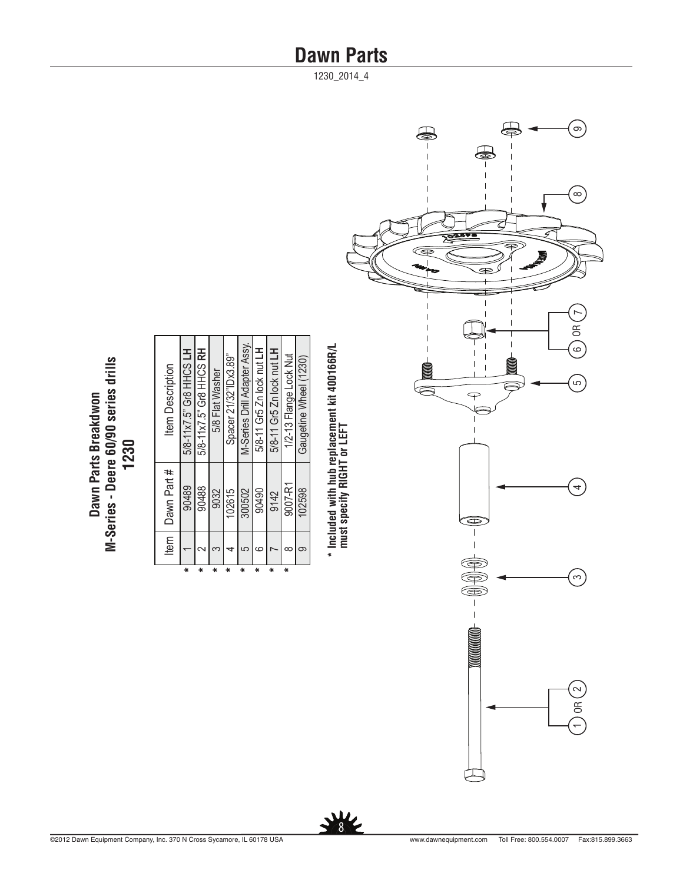1230\_2014\_4



| <b>Item Description</b> | 5/8-11x7.5" Gr8 HHCS LH | 5/8-11 x7.5" Gr8 HHCS RH | 5/8 Flat Washer | Spacer 21/32" Dx3.89" | M-Series Drill Adapter Assy. | 5/8-11 Gr5 Zn lock nut LH | 5/8-11 Gr5 Zn lock nut LH | 1/2-13 Flange Lock Nut | Gaugetine Wheel (1230) |
|-------------------------|-------------------------|--------------------------|-----------------|-----------------------|------------------------------|---------------------------|---------------------------|------------------------|------------------------|
| Dawn Part #             | 90489                   | 90488                    | 9032            | 102615                | 300502                       | 90490                     | 9142                      | 9007-R1                | 102598                 |
| ltem                    |                         |                          |                 |                       | 5                            |                           |                           |                        |                        |

**\*\*\*\***

**\*\*\*\***



**\* Included with hub replacement kit 400166R/L**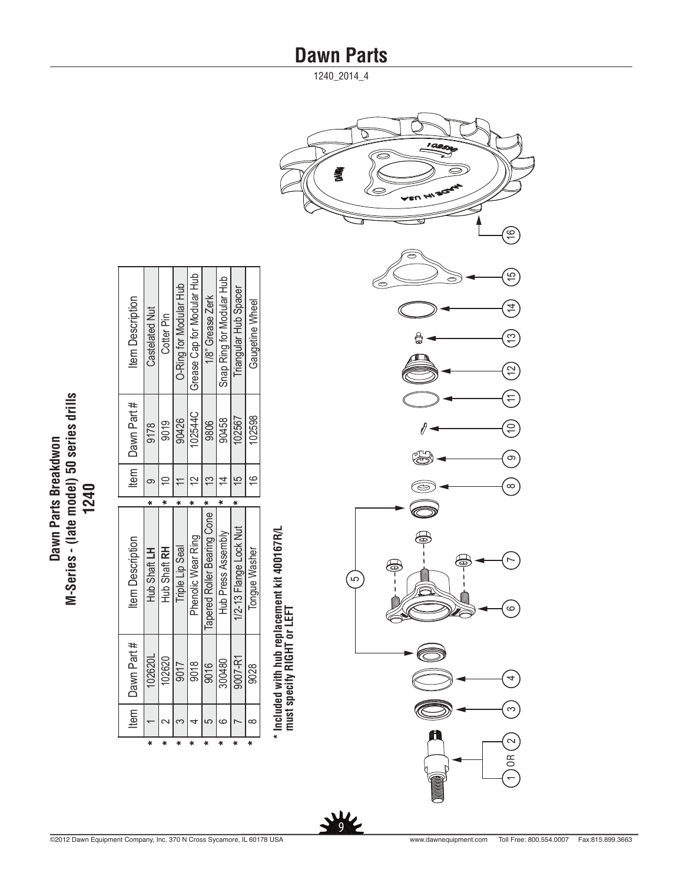| Dawn Parts Breakdwon | (late model) 50 series dril<br>ï<br>-Series | 1240 |
|----------------------|---------------------------------------------|------|

| Item Description        | Castelated Nut | Cotter Pin          | O-Ring for Modular Hub | Grease Cap for Modular Hub | 1/8" Grease Zerk               | Snap Ring for Modular Hub | Triangular Hub Spacer  | <b>Gaugetine Wheel</b> |
|-------------------------|----------------|---------------------|------------------------|----------------------------|--------------------------------|---------------------------|------------------------|------------------------|
| Item   Dawn Part#       | 9178           | 9019                | 90426                  | 02544C                     | 9806                           | 90458                     | 102567                 | 102598                 |
|                         |                |                     |                        |                            |                                |                           |                        | $\frac{6}{5}$          |
|                         |                |                     |                        |                            |                                |                           |                        |                        |
|                         |                |                     |                        |                            |                                |                           |                        |                        |
| <b>Item Description</b> | Hub Shaft LH   | <b>Hub Shaft RH</b> | <b>Triple Lip Seal</b> | Phenolic Wear Ring         | Tapered Roller Bearing Cone  " | Hub Press Assembly        | 1/2-13 Flange Lock Nut | Tonque Washer          |
| Dawn Part #<br>ltem     | 102620L        | 102620              | 9017                   | 9018                       | 9016                           | 300480                    | 9007-R1                | 9028                   |

**\* Included with hub replacement kit 400167R/L must specify RIGHT or LEFT**

 $\frac{1}{2}$ 



1240\_2014\_4